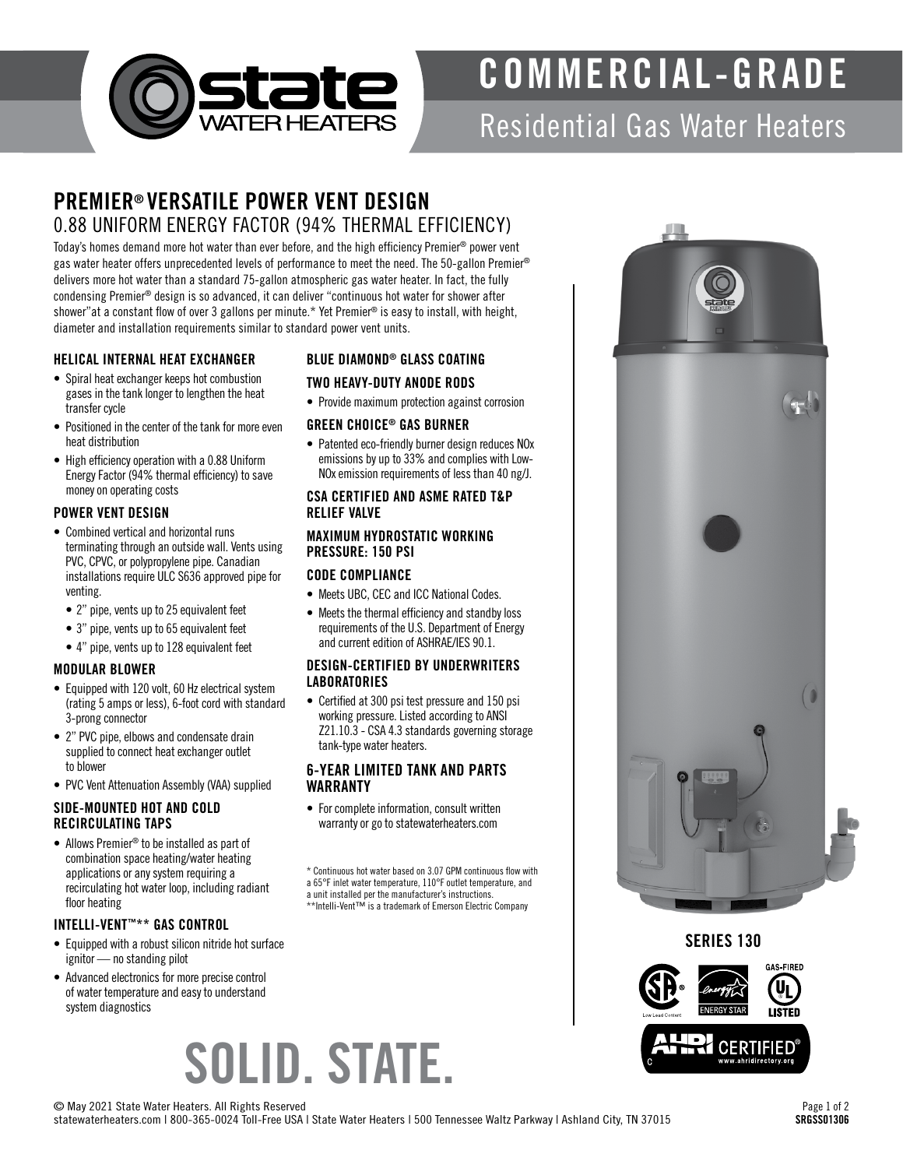

## COMMERCIAL-GRADE

### Residential Gas Water Heaters

### PREMIER® VERSATILE POWER VENT DESIGN 0.88 UNIFORM ENERGY FACTOR (94% THERMAL EFFICIENCY)

Today's homes demand more hot water than ever before, and the high efficiency Premier® power vent gas water heater offers unprecedented levels of performance to meet the need. The 50-gallon Premier® delivers more hot water than a standard 75-gallon atmospheric gas water heater. In fact, the fully condensing Premier® design is so advanced, it can deliver "continuous hot water for shower after shower"at a constant flow of over 3 gallons per minute.\* Yet Premier® is easy to install, with height, diameter and installation requirements similar to standard power vent units.

#### HELICAL INTERNAL HEAT EXCHANGER

- Spiral heat exchanger keeps hot combustion gases in the tank longer to lengthen the heat transfer cycle
- Positioned in the center of the tank for more even heat distribution
- High efficiency operation with a 0.88 Uniform Energy Factor (94% thermal efficiency) to save money on operating costs

#### POWER VENT DESIGN

- Combined vertical and horizontal runs terminating through an outside wall. Vents using PVC, CPVC, or polypropylene pipe. Canadian installations require ULC S636 approved pipe for venting.
	- 2" pipe, vents up to 25 equivalent feet
	- 3" pipe, vents up to 65 equivalent feet
	- 4" pipe, vents up to 128 equivalent feet

#### MODULAR BLOWER

- Equipped with 120 volt, 60 Hz electrical system (rating 5 amps or less), 6-foot cord with standard 3-prong connector
- 2" PVC pipe, elbows and condensate drain supplied to connect heat exchanger outlet to blower
- PVC Vent Attenuation Assembly (VAA) supplied

#### SIDE-MOUNTED HOT AND COLD RECIRCULATING TAPS

• Allows Premier® to be installed as part of combination space heating/water heating applications or any system requiring a recirculating hot water loop, including radiant floor heating

#### INTELLI-VENT™\*\* GAS CONTROL

- Equipped with a robust silicon nitride hot surface ignitor — no standing pilot
- Advanced electronics for more precise control of water temperature and easy to understand system diagnostics

#### BLUE DIAMOND® GLASS COATING

#### TWO HEAVY-DUTY ANODE RODS

• Provide maximum protection against corrosion

#### GREEN CHOICE® GAS BURNER

• Patented eco-friendly burner design reduces NO<sub>x</sub> emissions by up to 33% and complies with Low-NOx emission requirements of less than 40 ng/J.

#### CSA CERTIFIED AND ASME RATED T&P RELIEF VALVE

#### MAXIMUM HYDROSTATIC WORKING PRESSURE: 150 PSI

#### CODE COMPLIANCE

- Meets UBC, CEC and ICC National Codes.
- Meets the thermal efficiency and standby loss requirements of the U.S. Department of Energy and current edition of ASHRAE/IES 90.1.

#### DESIGN-CERTIFIED BY UNDERWRITERS **LABORATORIES**

• Certified at 300 psi test pressure and 150 psi working pressure. Listed according to ANSI Z21.10.3 - CSA 4.3 standards governing storage tank-type water heaters.

#### 6-YEAR LIMITED TANK AND PARTS WARRANTY

• For complete information, consult written warranty or go to statewaterheaters.com

\* Continuous hot water based on 3.07 GPM continuous flow with

- 
- \*\*Intelli-Vent™ is a trademark of Emerson Electric Company

# SOLID. STATE.

a 65°F inlet water temperature, 110°F outlet temperature, and a unit installed per the manufacturer's instructions. SERIES 130**FIRED CERTIFIED** 



© May 2021 State Water Heaters. All Rights Reserved